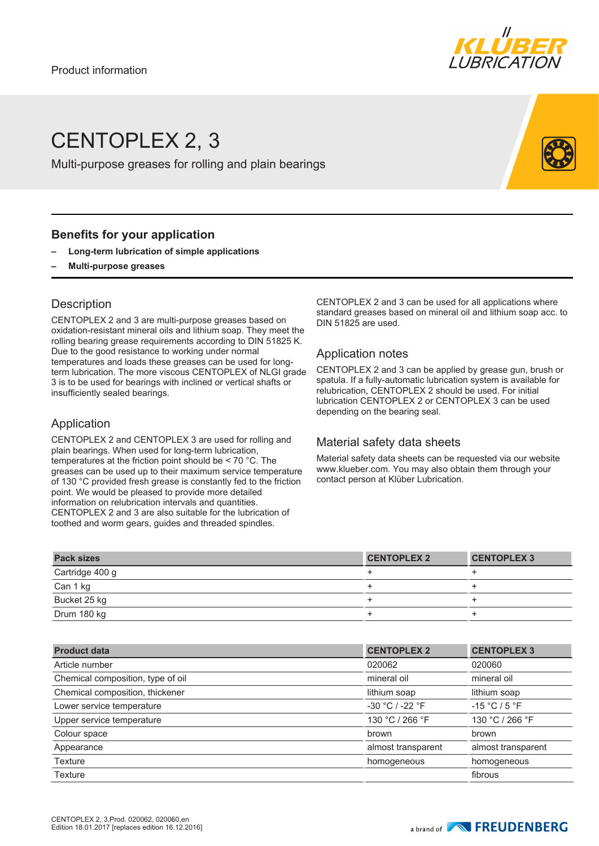

# CENTOPLEX 2, 3

Multi-purpose greases for rolling and plain bearings

### **Benefits for your application**

- **– Long-term lubrication of simple applications**
- **– Multi-purpose greases**

## **Description**

CENTOPLEX 2 and 3 are multi-purpose greases based on oxidation-resistant mineral oils and lithium soap. They meet the rolling bearing grease requirements according to DIN 51825 K. Due to the good resistance to working under normal temperatures and loads these greases can be used for longterm lubrication. The more viscous CENTOPLEX of NLGI grade 3 is to be used for bearings with inclined or vertical shafts or insufficiently sealed bearings.

### Application

CENTOPLEX 2 and CENTOPLEX 3 are used for rolling and plain bearings. When used for long-term lubrication, temperatures at the friction point should be < 70 °C. The greases can be used up to their maximum service temperature of 130 °C provided fresh grease is constantly fed to the friction point. We would be pleased to provide more detailed information on relubrication intervals and quantities. CENTOPLEX 2 and 3 are also suitable for the lubrication of toothed and worm gears, guides and threaded spindles.

CENTOPLEX 2 and 3 can be used for all applications where standard greases based on mineral oil and lithium soap acc. to DIN 51825 are used.

#### Application notes

CENTOPLEX 2 and 3 can be applied by grease gun, brush or spatula. If a fully-automatic lubrication system is available for relubrication, CENTOPLEX 2 should be used. For initial lubrication CENTOPLEX 2 or CENTOPLEX 3 can be used depending on the bearing seal.

### Material safety data sheets

Material safety data sheets can be requested via our website www.klueber.com. You may also obtain them through your contact person at Klüber Lubrication.

| <b>Pack sizes</b> | <b>CENTOPLEX 2</b> | <b>CENTOPLEX 3</b> |
|-------------------|--------------------|--------------------|
| Cartridge 400 g   |                    |                    |
| Can 1 kg          |                    |                    |
| Bucket 25 kg      |                    |                    |
| Drum 180 kg       |                    |                    |

| <b>Product data</b>               | <b>CENTOPLEX 2</b>  | <b>CENTOPLEX 3</b> |
|-----------------------------------|---------------------|--------------------|
| Article number                    | 020062              | 020060             |
| Chemical composition, type of oil | mineral oil         | mineral oil        |
| Chemical composition, thickener   | lithium soap        | lithium soap       |
| Lower service temperature         | $-30 °C$ / $-22 °F$ | $-15 °C / 5 °F$    |
| Upper service temperature         | 130 °C / 266 °F     | 130 °C / 266 °F    |
| Colour space                      | brown               | brown              |
| Appearance                        | almost transparent  | almost transparent |
| Texture                           | homogeneous         | homogeneous        |
| Texture                           |                     | fibrous            |